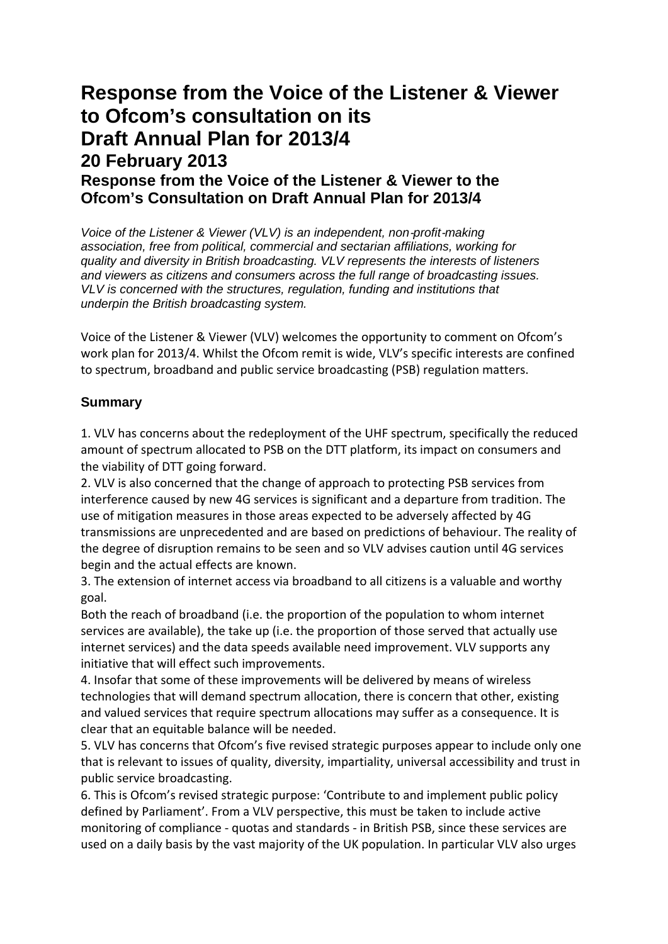# **Response from the Voice of the Listener & Viewer to Ofcom's consultation on its Draft Annual Plan for 2013/4 20 February 2013 Response from the Voice of the Listener & Viewer to the Ofcom's Consultation on Draft Annual Plan for 2013/4**

*Voice of the Listener & Viewer (VLV) is an independent, non*‐*profit*‐*making association, free from political, commercial and sectarian affiliations, working for quality and diversity in British broadcasting. VLV represents the interests of listeners and viewers as citizens and consumers across the full range of broadcasting issues. VLV is concerned with the structures, regulation, funding and institutions that underpin the British broadcasting system.*

Voice of the Listener & Viewer (VLV) welcomes the opportunity to comment on Ofcom's work plan for 2013/4. Whilst the Ofcom remit is wide, VLV's specific interests are confined to spectrum, broadband and public service broadcasting (PSB) regulation matters.

### **Summary**

1. VLV has concerns about the redeployment of the UHF spectrum, specifically the reduced amount of spectrum allocated to PSB on the DTT platform, its impact on consumers and the viability of DTT going forward.

2. VLV is also concerned that the change of approach to protecting PSB services from interference caused by new 4G services is significant and a departure from tradition. The use of mitigation measures in those areas expected to be adversely affected by 4G transmissions are unprecedented and are based on predictions of behaviour. The reality of the degree of disruption remains to be seen and so VLV advises caution until 4G services begin and the actual effects are known.

3. The extension of internet access via broadband to all citizens is a valuable and worthy goal.

Both the reach of broadband (i.e. the proportion of the population to whom internet services are available), the take up (i.e. the proportion of those served that actually use internet services) and the data speeds available need improvement. VLV supports any initiative that will effect such improvements.

4. Insofar that some of these improvements will be delivered by means of wireless technologies that will demand spectrum allocation, there is concern that other, existing and valued services that require spectrum allocations may suffer as a consequence. It is clear that an equitable balance will be needed.

5. VLV has concerns that Ofcom's five revised strategic purposes appear to include only one that is relevant to issues of quality, diversity, impartiality, universal accessibility and trust in public service broadcasting.

6. This is Ofcom's revised strategic purpose: 'Contribute to and implement public policy defined by Parliament'. From a VLV perspective, this must be taken to include active monitoring of compliance ‐ quotas and standards ‐ in British PSB, since these services are used on a daily basis by the vast majority of the UK population. In particular VLV also urges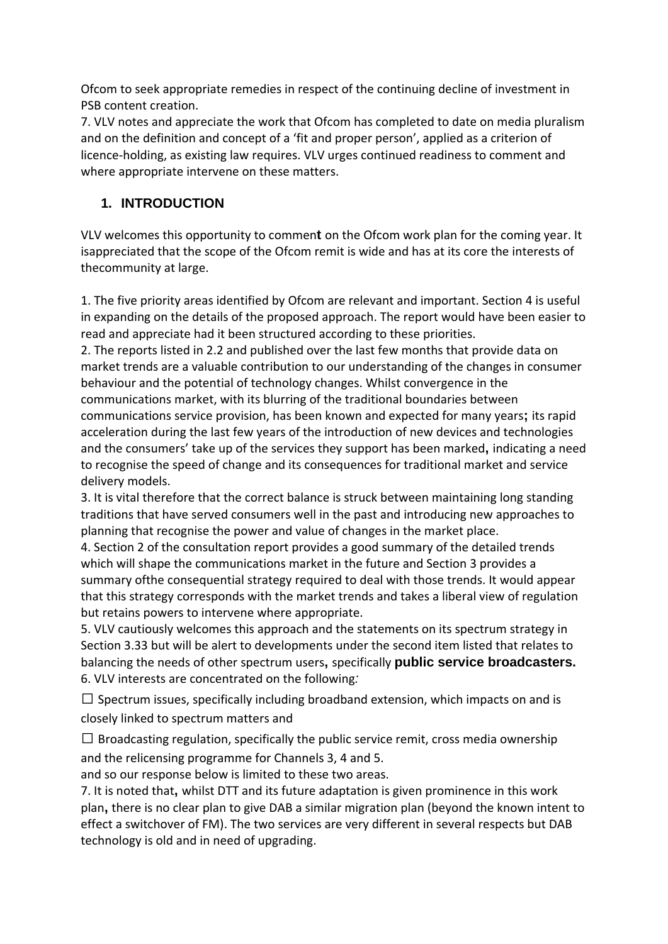Ofcom to seek appropriate remedies in respect of the continuing decline of investment in PSB content creation.

7. VLV notes and appreciate the work that Ofcom has completed to date on media pluralism and on the definition and concept of a 'fit and proper person', applied as a criterion of licence-holding, as existing law requires. VLV urges continued readiness to comment and where appropriate intervene on these matters.

## **1. INTRODUCTION**

VLV welcomes this opportunity to commen**t** on the Ofcom work plan for the coming year. It isappreciated that the scope of the Ofcom remit is wide and has at its core the interests of thecommunity at large.

1. The five priority areas identified by Ofcom are relevant and important. Section 4 is useful in expanding on the details of the proposed approach. The report would have been easier to read and appreciate had it been structured according to these priorities.

2. The reports listed in 2.2 and published over the last few months that provide data on market trends are a valuable contribution to our understanding of the changes in consumer behaviour and the potential of technology changes. Whilst convergence in the communications market, with its blurring of the traditional boundaries between communications service provision, has been known and expected for many years**;** its rapid acceleration during the last few years of the introduction of new devices and technologies and the consumers' take up of the services they support has been marked**,** indicating a need to recognise the speed of change and its consequences for traditional market and service delivery models.

3. It is vital therefore that the correct balance is struck between maintaining long standing traditions that have served consumers well in the past and introducing new approaches to planning that recognise the power and value of changes in the market place.

4. Section 2 of the consultation report provides a good summary of the detailed trends which will shape the communications market in the future and Section 3 provides a summary ofthe consequential strategy required to deal with those trends. It would appear that this strategy corresponds with the market trends and takes a liberal view of regulation but retains powers to intervene where appropriate.

5. VLV cautiously welcomes this approach and the statements on its spectrum strategy in Section 3.33 but will be alert to developments under the second item listed that relates to balancing the needs of other spectrum users**,** specifically **public service broadcasters.** 6. VLV interests are concentrated on the following*:*

 $\Box$  Spectrum issues, specifically including broadband extension, which impacts on and is closely linked to spectrum matters and

 $\Box$  Broadcasting regulation, specifically the public service remit, cross media ownership and the relicensing programme for Channels 3, 4 and 5.

and so our response below is limited to these two areas.

7. It is noted that**,** whilst DTT and its future adaptation is given prominence in this work plan**,** there is no clear plan to give DAB a similar migration plan (beyond the known intent to effect a switchover of FM). The two services are very different in several respects but DAB technology is old and in need of upgrading.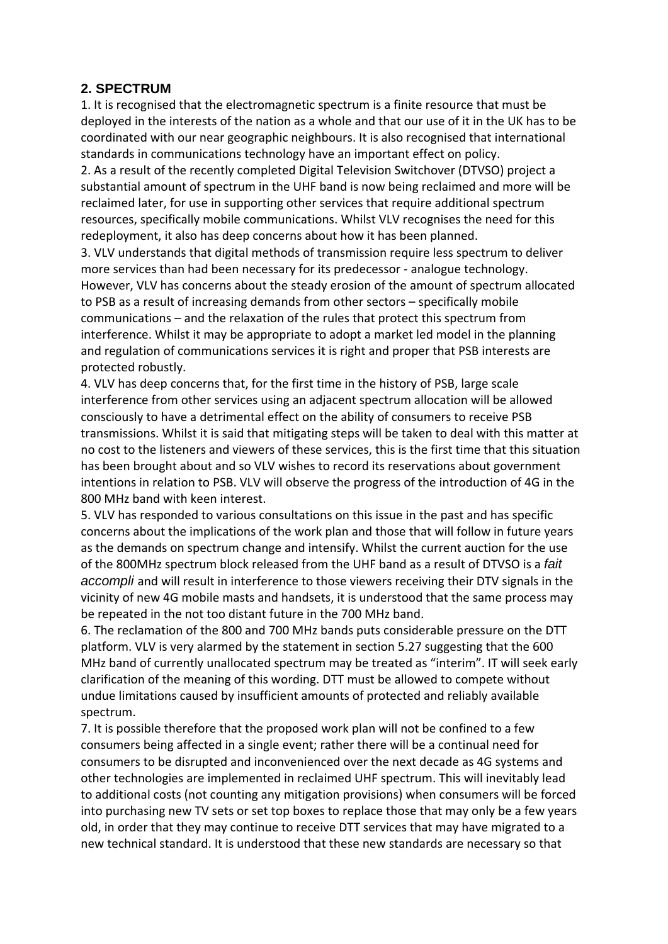#### **2. SPECTRUM**

1. It is recognised that the electromagnetic spectrum is a finite resource that must be deployed in the interests of the nation as a whole and that our use of it in the UK has to be coordinated with our near geographic neighbours. It is also recognised that international standards in communications technology have an important effect on policy.

2. As a result of the recently completed Digital Television Switchover (DTVSO) project a substantial amount of spectrum in the UHF band is now being reclaimed and more will be reclaimed later, for use in supporting other services that require additional spectrum resources, specifically mobile communications. Whilst VLV recognises the need for this redeployment, it also has deep concerns about how it has been planned.

3. VLV understands that digital methods of transmission require less spectrum to deliver more services than had been necessary for its predecessor ‐ analogue technology. However, VLV has concerns about the steady erosion of the amount of spectrum allocated to PSB as a result of increasing demands from other sectors – specifically mobile communications – and the relaxation of the rules that protect this spectrum from interference. Whilst it may be appropriate to adopt a market led model in the planning and regulation of communications services it is right and proper that PSB interests are protected robustly.

4. VLV has deep concerns that, for the first time in the history of PSB, large scale interference from other services using an adjacent spectrum allocation will be allowed consciously to have a detrimental effect on the ability of consumers to receive PSB transmissions. Whilst it is said that mitigating steps will be taken to deal with this matter at no cost to the listeners and viewers of these services, this is the first time that this situation has been brought about and so VLV wishes to record its reservations about government intentions in relation to PSB. VLV will observe the progress of the introduction of 4G in the 800 MHz band with keen interest.

5. VLV has responded to various consultations on this issue in the past and has specific concerns about the implications of the work plan and those that will follow in future years as the demands on spectrum change and intensify. Whilst the current auction for the use of the 800MHz spectrum block released from the UHF band as a result of DTVSO is a *fait accompli* and will result in interference to those viewers receiving their DTV signals in the vicinity of new 4G mobile masts and handsets, it is understood that the same process may be repeated in the not too distant future in the 700 MHz band.

6. The reclamation of the 800 and 700 MHz bands puts considerable pressure on the DTT platform. VLV is very alarmed by the statement in section 5.27 suggesting that the 600 MHz band of currently unallocated spectrum may be treated as "interim". IT will seek early clarification of the meaning of this wording. DTT must be allowed to compete without undue limitations caused by insufficient amounts of protected and reliably available spectrum.

7. It is possible therefore that the proposed work plan will not be confined to a few consumers being affected in a single event; rather there will be a continual need for consumers to be disrupted and inconvenienced over the next decade as 4G systems and other technologies are implemented in reclaimed UHF spectrum. This will inevitably lead to additional costs (not counting any mitigation provisions) when consumers will be forced into purchasing new TV sets or set top boxes to replace those that may only be a few years old, in order that they may continue to receive DTT services that may have migrated to a new technical standard. It is understood that these new standards are necessary so that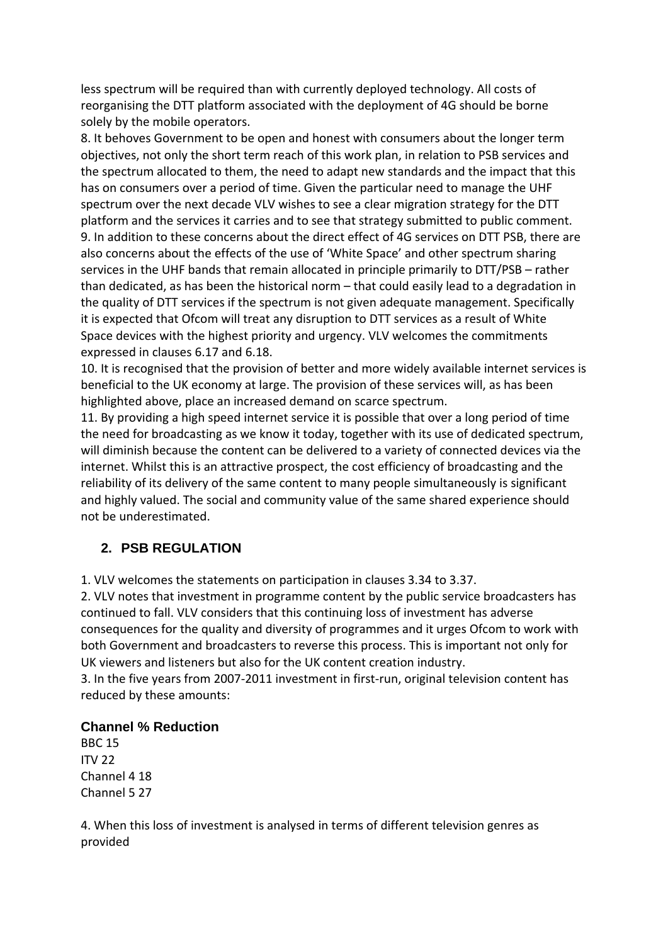less spectrum will be required than with currently deployed technology. All costs of reorganising the DTT platform associated with the deployment of 4G should be borne solely by the mobile operators.

8. It behoves Government to be open and honest with consumers about the longer term objectives, not only the short term reach of this work plan, in relation to PSB services and the spectrum allocated to them, the need to adapt new standards and the impact that this has on consumers over a period of time. Given the particular need to manage the UHF spectrum over the next decade VLV wishes to see a clear migration strategy for the DTT platform and the services it carries and to see that strategy submitted to public comment. 9. In addition to these concerns about the direct effect of 4G services on DTT PSB, there are also concerns about the effects of the use of 'White Space' and other spectrum sharing services in the UHF bands that remain allocated in principle primarily to DTT/PSB – rather than dedicated, as has been the historical norm – that could easily lead to a degradation in the quality of DTT services if the spectrum is not given adequate management. Specifically it is expected that Ofcom will treat any disruption to DTT services as a result of White Space devices with the highest priority and urgency. VLV welcomes the commitments expressed in clauses 6.17 and 6.18.

10. It is recognised that the provision of better and more widely available internet services is beneficial to the UK economy at large. The provision of these services will, as has been highlighted above, place an increased demand on scarce spectrum.

11. By providing a high speed internet service it is possible that over a long period of time the need for broadcasting as we know it today, together with its use of dedicated spectrum, will diminish because the content can be delivered to a variety of connected devices via the internet. Whilst this is an attractive prospect, the cost efficiency of broadcasting and the reliability of its delivery of the same content to many people simultaneously is significant and highly valued. The social and community value of the same shared experience should not be underestimated.

### **2. PSB REGULATION**

1. VLV welcomes the statements on participation in clauses 3.34 to 3.37.

2. VLV notes that investment in programme content by the public service broadcasters has continued to fall. VLV considers that this continuing loss of investment has adverse consequences for the quality and diversity of programmes and it urges Ofcom to work with both Government and broadcasters to reverse this process. This is important not only for UK viewers and listeners but also for the UK content creation industry.

3. In the five years from 2007-2011 investment in first-run, original television content has reduced by these amounts:

#### **Channel % Reduction**

BBC 15 ITV 22 Channel 4 18 Channel 5 27

4. When this loss of investment is analysed in terms of different television genres as provided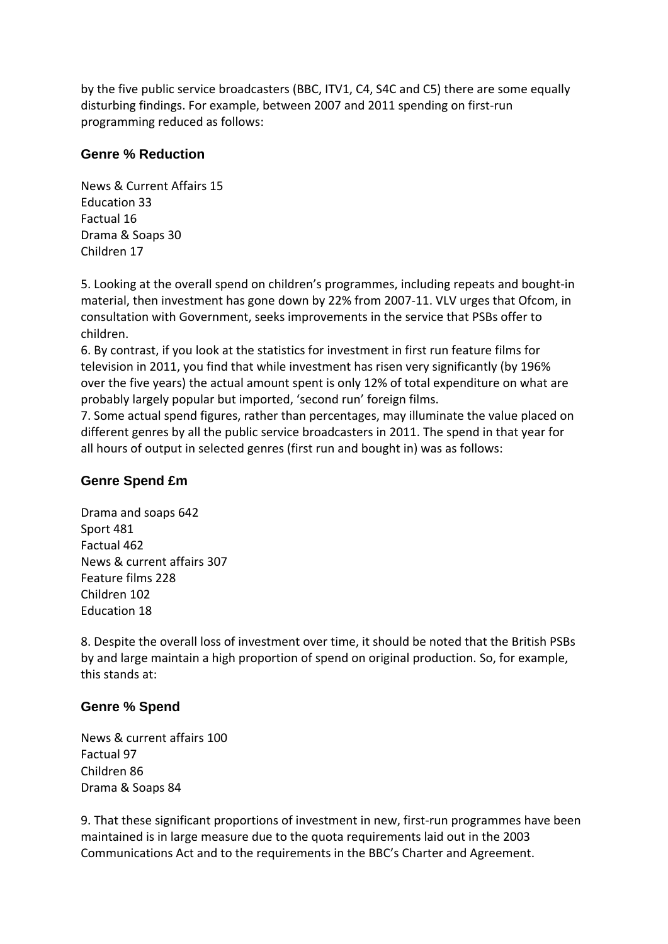by the five public service broadcasters (BBC, ITV1, C4, S4C and C5) there are some equally disturbing findings. For example, between 2007 and 2011 spending on first‐run programming reduced as follows:

### **Genre % Reduction**

News & Current Affairs 15 Education 33 Factual 16 Drama & Soaps 30 Children 17

5. Looking at the overall spend on children's programmes, including repeats and bought‐in material, then investment has gone down by 22% from 2007‐11. VLV urges that Ofcom, in consultation with Government, seeks improvements in the service that PSBs offer to children.

6. By contrast, if you look at the statistics for investment in first run feature films for television in 2011, you find that while investment has risen very significantly (by 196% over the five years) the actual amount spent is only 12% of total expenditure on what are probably largely popular but imported, 'second run' foreign films.

7. Some actual spend figures, rather than percentages, may illuminate the value placed on different genres by all the public service broadcasters in 2011. The spend in that year for all hours of output in selected genres (first run and bought in) was as follows:

### **Genre Spend £m**

Drama and soaps 642 Sport 481 Factual 462 News & current affairs 307 Feature films 228 Children 102 Education 18

8. Despite the overall loss of investment over time, it should be noted that the British PSBs by and large maintain a high proportion of spend on original production. So, for example, this stands at:

### **Genre % Spend**

News & current affairs 100 Factual 97 Children 86 Drama & Soaps 84

9. That these significant proportions of investment in new, first-run programmes have been maintained is in large measure due to the quota requirements laid out in the 2003 Communications Act and to the requirements in the BBC's Charter and Agreement.